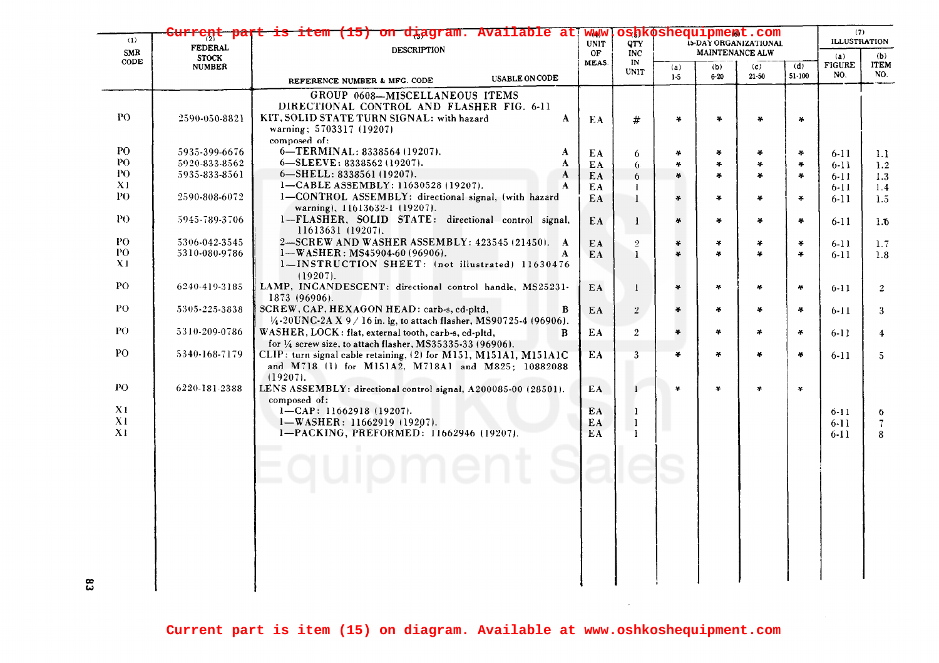| (1)            | eņc                            | item (15) on diagram. Available at                                                                                        | <b>WWW</b><br><b>UNIT</b> | <b>OTY</b>        | oshkoshequipment.com<br>15-DAY ORGANIZATIONAL |                 |               |            | (7)<br><b>ILLUSTRATION</b> |                          |
|----------------|--------------------------------|---------------------------------------------------------------------------------------------------------------------------|---------------------------|-------------------|-----------------------------------------------|-----------------|---------------|------------|----------------------------|--------------------------|
| SMR            | <b>FEDERAL</b><br><b>STOCK</b> | <b>DESCRIPTION</b>                                                                                                        |                           | <b>INC</b>        |                                               | MAINTENANCE ALW |               |            | (a)<br>(b)                 |                          |
| CODE           | <b>NUMBER</b>                  |                                                                                                                           | MEAS.                     | IN<br><b>UNIT</b> | (a)                                           | (b)             | (c)           | (d)        | <b>FIGURE</b>              | <b>ITEM</b>              |
|                |                                | <b>USABLE ON CODE</b><br>REFERENCE NUMBER & MFG. CODE                                                                     |                           |                   | $1-5$                                         | $6 - 20$        | $21 - 50$     | $51 - 100$ | NO.                        | NO.                      |
|                |                                | GROUP 0608-MISCELLANEOUS ITEMS                                                                                            |                           |                   |                                               |                 |               |            |                            |                          |
|                |                                | DIRECTIONAL CONTROL AND FLASHER FIG. 6-11                                                                                 |                           |                   |                                               |                 |               |            |                            |                          |
| PO.            | 2590-050-8821                  | KIT, SOLID STATE TURN SIGNAL: with hazard<br>A                                                                            | EA                        | #                 | ¥                                             | ¥.              |               | ¥          |                            |                          |
|                |                                | warning; 5703317 (19207)                                                                                                  |                           |                   |                                               |                 |               |            |                            |                          |
|                |                                | composed of:                                                                                                              |                           |                   |                                               |                 |               |            |                            |                          |
| PO.            | 5935-399-6676                  | 6-TERMINAL: 8338564 (19207).<br>A                                                                                         | EA                        | 6                 | *                                             | ¥               | ÷             | ¥.         | $6-11$                     | 1.1                      |
| PO.            | 5920-833-8562                  | 6-SLEEVE: 8338562 (19207).<br>A                                                                                           | EA.                       | 6.                | ×.                                            | 半               | $\mathcal{A}$ | ×.         | $6 - 11$                   | 1.2                      |
| PO.            | 5935-833-8561                  | 6-SHELL: 8338561 (19207).<br>A                                                                                            | EA.                       | 6                 | ¥                                             | ÷               | $\ast$        | 4          | $6 - 11$                   | 1.3                      |
| X <sub>1</sub> |                                | 1-CABLE ASSEMBLY: 11630528 (19207).<br>A                                                                                  | EA.                       | -1                |                                               |                 |               |            | $6 - 11$                   | 1.4                      |
| PO.            | 2590-808-6072                  | 1-CONTROL ASSEMBLY: directional signal, (with hazard<br>warning), 11613632-1 (19207).                                     | EA                        | $\mathbf{I}$      | *                                             | $\frac{1}{2}$   | ¥             | ¥.         | $6 - 11$                   | 1.5                      |
| PO.            | 5945-789-3706                  | 1-FLASHER, SOLID STATE: directional control signal,<br>11613631 (19207).                                                  | EA                        | -1                | ¥                                             | ÷               | $\star$       | ¥.         | 6-11                       | 1.6                      |
| PO.            | 5306-042-3545                  | 2-SCREW AND WASHER ASSEMBLY: 423545 (21450). A                                                                            | EA                        | $\overline{2}$    | ¥                                             | ¥               | $\ast$        | 4          | $6-11$                     | 1.7                      |
| PO             | 5310-080-9786                  | $1-WASHER: MS45904-60 (96906).$                                                                                           | EA                        | $\mathbf{I}$      | ¥.                                            | ¥               | ¥             | $\ast$     | $6 - 11$                   | 1.8                      |
| X <sub>1</sub> |                                | 1-INSTRUCTION SHEET: (not illustrated) 11630476                                                                           |                           |                   |                                               |                 |               |            |                            |                          |
|                |                                | $(19207)$ .                                                                                                               |                           |                   |                                               |                 |               |            |                            |                          |
| PO             | 6240-419-3185                  | LAMP, INCANDESCENT: directional control handle, MS25231-                                                                  | EA                        | $\mathbf{I}$      | ¥.                                            | ¥.              | ×.            | $\sim$     | $6 - 11$                   | $\overline{2}$           |
| P <sub>O</sub> |                                | 1873 (96906).                                                                                                             |                           |                   |                                               |                 |               |            |                            |                          |
|                | 5305-225-3838                  | SCREW, CAP, HEXAGON HEAD: carb-s, cd-pltd,<br>B<br>$1/4$ -20UNC-2A X 9 / 16 in. lg, to attach flasher, MS90725-4 (96906). | EA                        | $\overline{2}$    | $\frac{1}{2}$                                 | $\frac{1}{2}$   | $\mathcal{H}$ | $\sim$     | $6 - 11$                   | 3                        |
| PO.            | 5310-209-0786                  | WASHER, LOCK: flat, external tooth, carb-s, cd-pltd,<br>B                                                                 | EA                        | $\overline{2}$    | ¥                                             | ¥               | ÷             | $\ast$     | $6-11$                     |                          |
|                |                                | for $\frac{1}{4}$ screw size, to attach flasher, MS35335-33 (96906).                                                      |                           |                   |                                               |                 |               |            |                            | $\overline{4}$           |
| P <sub>O</sub> | 5340-168-7179                  | CLIP: turn signal cable retaining, (2) for M151, M151A1, M151A1C                                                          | EA                        | 3                 | $\ast$                                        | ¥               | $\ast$        | ¥          | $6-11$                     | $5^{\circ}$              |
|                |                                | and M718 (1) for M151A2, M718A1 and M825; 10882088                                                                        |                           |                   |                                               |                 |               |            |                            |                          |
|                |                                | $(19207)$ .                                                                                                               |                           |                   |                                               |                 |               |            |                            |                          |
| PO             | 6220-181-2388                  | LENS ASSEMBLY: directional control signal, A200085-00 (28501).                                                            | EA                        | 1                 | ¥                                             | ¥               | $\ast$        | ¥          |                            |                          |
|                |                                | composed of:                                                                                                              |                           |                   |                                               |                 |               |            |                            |                          |
| X1             |                                | $1 - CAP: 11662918(19207).$                                                                                               | EA                        | $\mathbf{1}$      |                                               |                 |               |            | $6 - 11$                   | 6                        |
| X1             |                                | 1-WASHER: 11662919 (19207).                                                                                               | EA                        | $\mathbf{1}$      |                                               |                 |               |            | $6 - 11$                   | $\overline{\mathcal{L}}$ |
| X1             |                                | 1-PACKING, PREFORMED: 11662946 (19207).                                                                                   | EA.                       | <sup>1</sup>      |                                               |                 |               |            | 6-11                       | 8                        |
|                |                                |                                                                                                                           |                           |                   |                                               |                 |               |            |                            |                          |
|                |                                |                                                                                                                           |                           |                   |                                               |                 |               |            |                            |                          |
|                |                                | quipment                                                                                                                  |                           |                   |                                               |                 |               |            |                            |                          |
|                |                                |                                                                                                                           |                           |                   |                                               |                 |               |            |                            |                          |
|                |                                |                                                                                                                           |                           |                   |                                               |                 |               |            |                            |                          |
|                |                                |                                                                                                                           |                           |                   |                                               |                 |               |            |                            |                          |
|                |                                |                                                                                                                           |                           |                   |                                               |                 |               |            |                            |                          |
|                |                                |                                                                                                                           |                           |                   |                                               |                 |               |            |                            |                          |
|                |                                |                                                                                                                           |                           |                   |                                               |                 |               |            |                            |                          |
|                |                                |                                                                                                                           |                           |                   |                                               |                 |               |            |                            |                          |
|                |                                |                                                                                                                           |                           |                   |                                               |                 |               |            |                            |                          |
|                |                                |                                                                                                                           |                           |                   |                                               |                 |               |            |                            |                          |
|                |                                |                                                                                                                           |                           |                   |                                               |                 |               |            |                            |                          |

 $\sim 10^6$